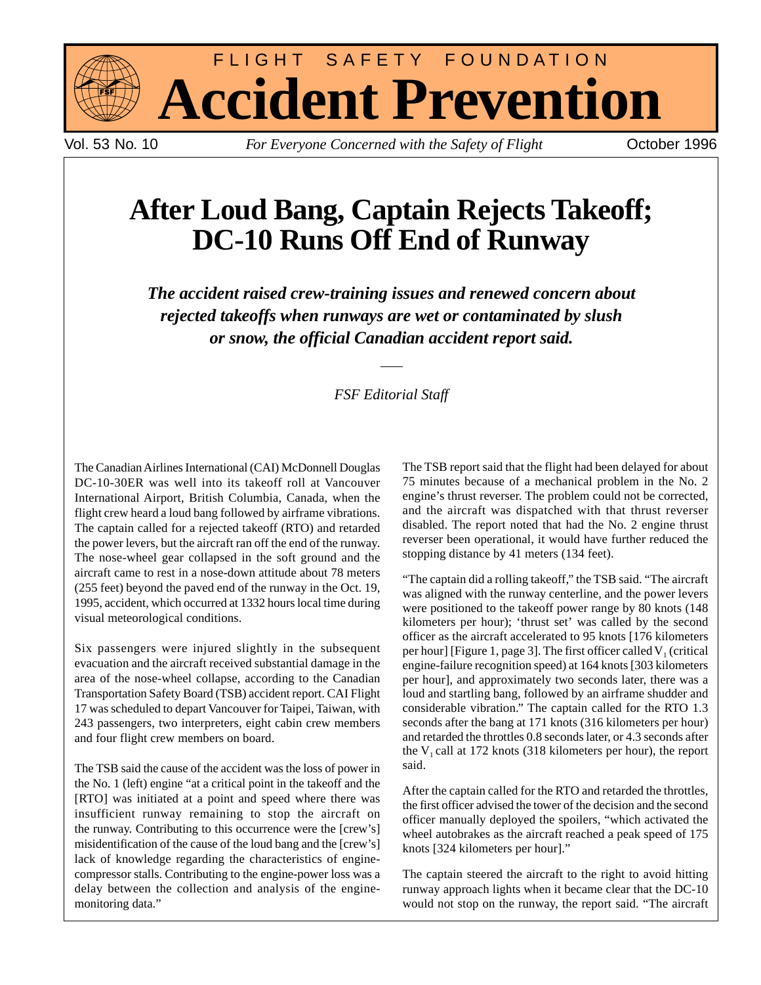

FLIGHT SAFETY FOUNDATION **Accident Prevention**

Vol. 53 No. 10 *For Everyone Concerned with the Safety of Flight* October 1996

# **After Loud Bang, Captain Rejects Takeoff; DC-10 Runs Off End of Runway**

*The accident raised crew-training issues and renewed concern about rejected takeoffs when runways are wet or contaminated by slush or snow, the official Canadian accident report said.*

# *FSF Editorial Staff*

The Canadian Airlines International (CAI) McDonnell Douglas DC-10-30ER was well into its takeoff roll at Vancouver International Airport, British Columbia, Canada, when the flight crew heard a loud bang followed by airframe vibrations. The captain called for a rejected takeoff (RTO) and retarded the power levers, but the aircraft ran off the end of the runway. The nose-wheel gear collapsed in the soft ground and the aircraft came to rest in a nose-down attitude about 78 meters (255 feet) beyond the paved end of the runway in the Oct. 19, 1995, accident, which occurred at 1332 hours local time during visual meteorological conditions.

Six passengers were injured slightly in the subsequent evacuation and the aircraft received substantial damage in the area of the nose-wheel collapse, according to the Canadian Transportation Safety Board (TSB) accident report. CAI Flight 17 was scheduled to depart Vancouver for Taipei, Taiwan, with 243 passengers, two interpreters, eight cabin crew members and four flight crew members on board.

The TSB said the cause of the accident was the loss of power in the No. 1 (left) engine "at a critical point in the takeoff and the [RTO] was initiated at a point and speed where there was insufficient runway remaining to stop the aircraft on the runway. Contributing to this occurrence were the [crew's] misidentification of the cause of the loud bang and the [crew's] lack of knowledge regarding the characteristics of enginecompressor stalls. Contributing to the engine-power loss was a delay between the collection and analysis of the enginemonitoring data."

The TSB report said that the flight had been delayed for about 75 minutes because of a mechanical problem in the No. 2 engine's thrust reverser. The problem could not be corrected, and the aircraft was dispatched with that thrust reverser disabled. The report noted that had the No. 2 engine thrust reverser been operational, it would have further reduced the stopping distance by 41 meters (134 feet).

"The captain did a rolling takeoff," the TSB said. "The aircraft was aligned with the runway centerline, and the power levers were positioned to the takeoff power range by 80 knots (148 kilometers per hour); 'thrust set' was called by the second officer as the aircraft accelerated to 95 knots [176 kilometers per hour] [Figure 1, page 3]. The first officer called  $V_1$  (critical engine-failure recognition speed) at 164 knots [303 kilometers per hour], and approximately two seconds later, there was a loud and startling bang, followed by an airframe shudder and considerable vibration." The captain called for the RTO 1.3 seconds after the bang at 171 knots (316 kilometers per hour) and retarded the throttles 0.8 seconds later, or 4.3 seconds after the  $V_1$  call at 172 knots (318 kilometers per hour), the report said.

After the captain called for the RTO and retarded the throttles, the first officer advised the tower of the decision and the second officer manually deployed the spoilers, "which activated the wheel autobrakes as the aircraft reached a peak speed of 175 knots [324 kilometers per hour]."

The captain steered the aircraft to the right to avoid hitting runway approach lights when it became clear that the DC-10 would not stop on the runway, the report said. "The aircraft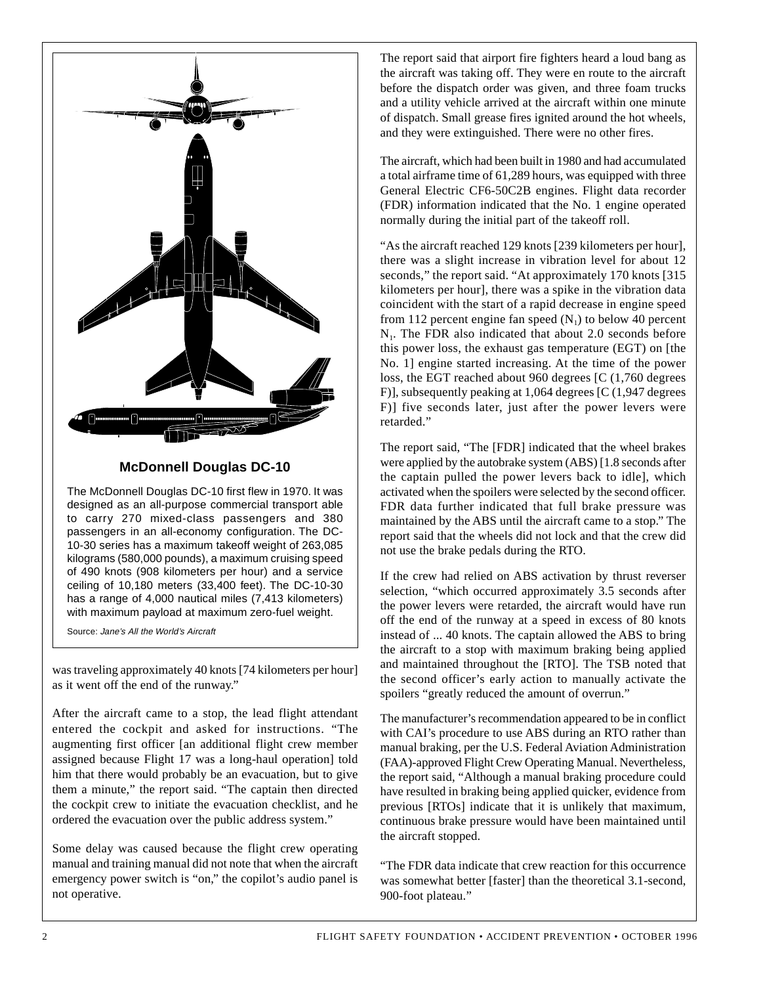

## **McDonnell Douglas DC-10**

The McDonnell Douglas DC-10 first flew in 1970. It was designed as an all-purpose commercial transport able to carry 270 mixed-class passengers and 380 passengers in an all-economy configuration. The DC-10-30 series has a maximum takeoff weight of 263,085 kilograms (580,000 pounds), a maximum cruising speed of 490 knots (908 kilometers per hour) and a service ceiling of 10,180 meters (33,400 feet). The DC-10-30 has a range of 4,000 nautical miles (7,413 kilometers) with maximum payload at maximum zero-fuel weight.

Source: Jane's All the World's Aircraft

was traveling approximately 40 knots [74 kilometers per hour] as it went off the end of the runway."

After the aircraft came to a stop, the lead flight attendant entered the cockpit and asked for instructions. "The augmenting first officer [an additional flight crew member assigned because Flight 17 was a long-haul operation] told him that there would probably be an evacuation, but to give them a minute," the report said. "The captain then directed the cockpit crew to initiate the evacuation checklist, and he ordered the evacuation over the public address system."

Some delay was caused because the flight crew operating manual and training manual did not note that when the aircraft emergency power switch is "on," the copilot's audio panel is not operative.

The report said that airport fire fighters heard a loud bang as the aircraft was taking off. They were en route to the aircraft before the dispatch order was given, and three foam trucks and a utility vehicle arrived at the aircraft within one minute of dispatch. Small grease fires ignited around the hot wheels, and they were extinguished. There were no other fires.

The aircraft, which had been built in 1980 and had accumulated a total airframe time of 61,289 hours, was equipped with three General Electric CF6-50C2B engines. Flight data recorder (FDR) information indicated that the No. 1 engine operated normally during the initial part of the takeoff roll.

"As the aircraft reached 129 knots [239 kilometers per hour], there was a slight increase in vibration level for about 12 seconds," the report said. "At approximately 170 knots [315] kilometers per hour], there was a spike in the vibration data coincident with the start of a rapid decrease in engine speed from 112 percent engine fan speed  $(N_1)$  to below 40 percent  $N<sub>1</sub>$ . The FDR also indicated that about 2.0 seconds before this power loss, the exhaust gas temperature (EGT) on [the No. 1] engine started increasing. At the time of the power loss, the EGT reached about 960 degrees [C (1,760 degrees F)], subsequently peaking at 1,064 degrees [C (1,947 degrees F)] five seconds later, just after the power levers were retarded."

The report said, "The [FDR] indicated that the wheel brakes were applied by the autobrake system (ABS) [1.8 seconds after the captain pulled the power levers back to idle], which activated when the spoilers were selected by the second officer. FDR data further indicated that full brake pressure was maintained by the ABS until the aircraft came to a stop." The report said that the wheels did not lock and that the crew did not use the brake pedals during the RTO.

If the crew had relied on ABS activation by thrust reverser selection, "which occurred approximately 3.5 seconds after the power levers were retarded, the aircraft would have run off the end of the runway at a speed in excess of 80 knots instead of ... 40 knots. The captain allowed the ABS to bring the aircraft to a stop with maximum braking being applied and maintained throughout the [RTO]. The TSB noted that the second officer's early action to manually activate the spoilers "greatly reduced the amount of overrun."

The manufacturer's recommendation appeared to be in conflict with CAI's procedure to use ABS during an RTO rather than manual braking, per the U.S. Federal Aviation Administration (FAA)-approved Flight Crew Operating Manual. Nevertheless, the report said, "Although a manual braking procedure could have resulted in braking being applied quicker, evidence from previous [RTOs] indicate that it is unlikely that maximum, continuous brake pressure would have been maintained until the aircraft stopped.

"The FDR data indicate that crew reaction for this occurrence was somewhat better [faster] than the theoretical 3.1-second, 900-foot plateau."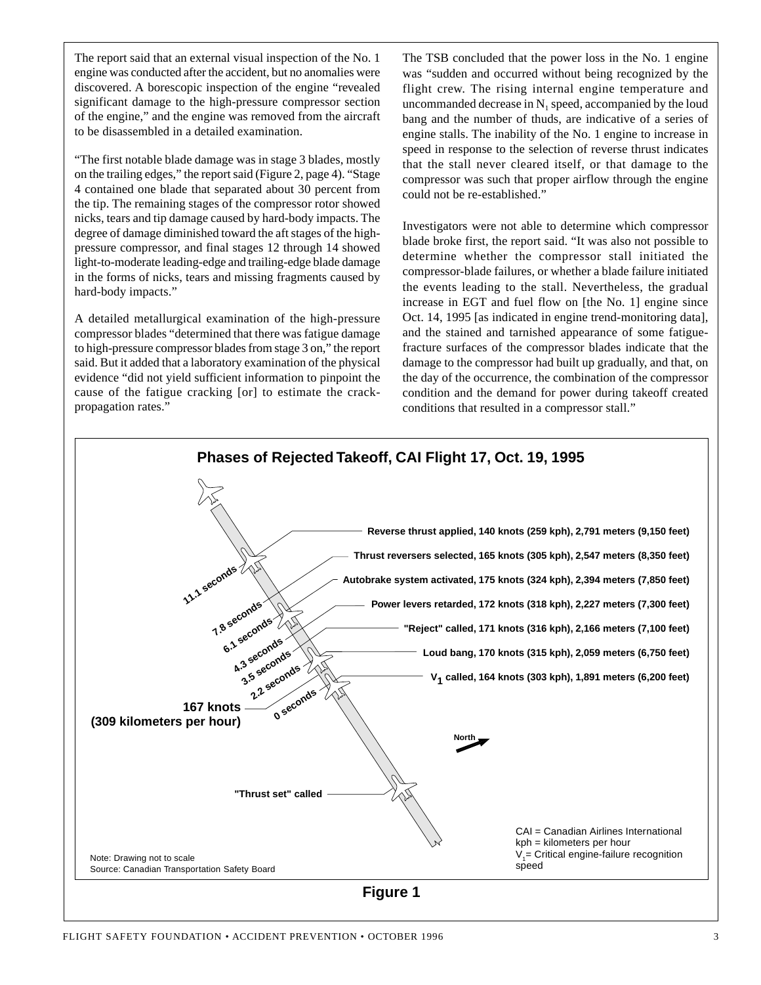The report said that an external visual inspection of the No. 1 engine was conducted after the accident, but no anomalies were discovered. A borescopic inspection of the engine "revealed significant damage to the high-pressure compressor section of the engine," and the engine was removed from the aircraft to be disassembled in a detailed examination.

"The first notable blade damage was in stage 3 blades, mostly on the trailing edges," the report said (Figure 2, page 4). "Stage 4 contained one blade that separated about 30 percent from the tip. The remaining stages of the compressor rotor showed nicks, tears and tip damage caused by hard-body impacts. The degree of damage diminished toward the aft stages of the highpressure compressor, and final stages 12 through 14 showed light-to-moderate leading-edge and trailing-edge blade damage in the forms of nicks, tears and missing fragments caused by hard-body impacts."

A detailed metallurgical examination of the high-pressure compressor blades "determined that there was fatigue damage to high-pressure compressor blades from stage 3 on," the report said. But it added that a laboratory examination of the physical evidence "did not yield sufficient information to pinpoint the cause of the fatigue cracking [or] to estimate the crackpropagation rates."

The TSB concluded that the power loss in the No. 1 engine was "sudden and occurred without being recognized by the flight crew. The rising internal engine temperature and uncommanded decrease in  $N_1$  speed, accompanied by the loud bang and the number of thuds, are indicative of a series of engine stalls. The inability of the No. 1 engine to increase in speed in response to the selection of reverse thrust indicates that the stall never cleared itself, or that damage to the compressor was such that proper airflow through the engine could not be re-established."

Investigators were not able to determine which compressor blade broke first, the report said. "It was also not possible to determine whether the compressor stall initiated the compressor-blade failures, or whether a blade failure initiated the events leading to the stall. Nevertheless, the gradual increase in EGT and fuel flow on [the No. 1] engine since Oct. 14, 1995 [as indicated in engine trend-monitoring data], and the stained and tarnished appearance of some fatiguefracture surfaces of the compressor blades indicate that the damage to the compressor had built up gradually, and that, on the day of the occurrence, the combination of the compressor condition and the demand for power during takeoff created conditions that resulted in a compressor stall."

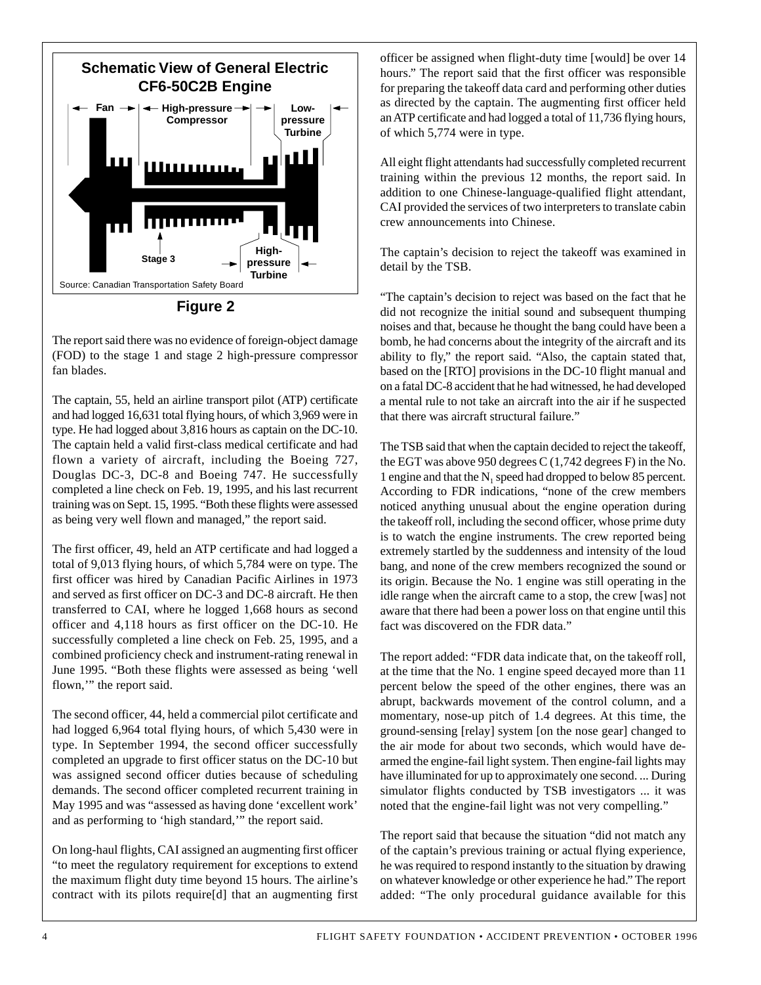

The report said there was no evidence of foreign-object damage (FOD) to the stage 1 and stage 2 high-pressure compressor fan blades.

The captain, 55, held an airline transport pilot (ATP) certificate and had logged 16,631 total flying hours, of which 3,969 were in type. He had logged about 3,816 hours as captain on the DC-10. The captain held a valid first-class medical certificate and had flown a variety of aircraft, including the Boeing 727, Douglas DC-3, DC-8 and Boeing 747. He successfully completed a line check on Feb. 19, 1995, and his last recurrent training was on Sept. 15, 1995. "Both these flights were assessed as being very well flown and managed," the report said.

The first officer, 49, held an ATP certificate and had logged a total of 9,013 flying hours, of which 5,784 were on type. The first officer was hired by Canadian Pacific Airlines in 1973 and served as first officer on DC-3 and DC-8 aircraft. He then transferred to CAI, where he logged 1,668 hours as second officer and 4,118 hours as first officer on the DC-10. He successfully completed a line check on Feb. 25, 1995, and a combined proficiency check and instrument-rating renewal in June 1995. "Both these flights were assessed as being 'well flown,'" the report said.

The second officer, 44, held a commercial pilot certificate and had logged 6,964 total flying hours, of which 5,430 were in type. In September 1994, the second officer successfully completed an upgrade to first officer status on the DC-10 but was assigned second officer duties because of scheduling demands. The second officer completed recurrent training in May 1995 and was "assessed as having done 'excellent work' and as performing to 'high standard,'" the report said.

On long-haul flights, CAI assigned an augmenting first officer "to meet the regulatory requirement for exceptions to extend the maximum flight duty time beyond 15 hours. The airline's contract with its pilots require[d] that an augmenting first officer be assigned when flight-duty time [would] be over 14 hours." The report said that the first officer was responsible for preparing the takeoff data card and performing other duties as directed by the captain. The augmenting first officer held an ATP certificate and had logged a total of 11,736 flying hours, of which 5,774 were in type.

All eight flight attendants had successfully completed recurrent training within the previous 12 months, the report said. In addition to one Chinese-language-qualified flight attendant, CAI provided the services of two interpreters to translate cabin crew announcements into Chinese.

The captain's decision to reject the takeoff was examined in detail by the TSB.

"The captain's decision to reject was based on the fact that he did not recognize the initial sound and subsequent thumping noises and that, because he thought the bang could have been a bomb, he had concerns about the integrity of the aircraft and its ability to fly," the report said. "Also, the captain stated that, based on the [RTO] provisions in the DC-10 flight manual and on a fatal DC-8 accident that he had witnessed, he had developed a mental rule to not take an aircraft into the air if he suspected that there was aircraft structural failure."

The TSB said that when the captain decided to reject the takeoff, the EGT was above 950 degrees  $C(1,742$  degrees F) in the No. 1 engine and that the  $N_1$  speed had dropped to below 85 percent. According to FDR indications, "none of the crew members noticed anything unusual about the engine operation during the takeoff roll, including the second officer, whose prime duty is to watch the engine instruments. The crew reported being extremely startled by the suddenness and intensity of the loud bang, and none of the crew members recognized the sound or its origin. Because the No. 1 engine was still operating in the idle range when the aircraft came to a stop, the crew [was] not aware that there had been a power loss on that engine until this fact was discovered on the FDR data."

The report added: "FDR data indicate that, on the takeoff roll, at the time that the No. 1 engine speed decayed more than 11 percent below the speed of the other engines, there was an abrupt, backwards movement of the control column, and a momentary, nose-up pitch of 1.4 degrees. At this time, the ground-sensing [relay] system [on the nose gear] changed to the air mode for about two seconds, which would have dearmed the engine-fail light system. Then engine-fail lights may have illuminated for up to approximately one second. ... During simulator flights conducted by TSB investigators ... it was noted that the engine-fail light was not very compelling."

The report said that because the situation "did not match any of the captain's previous training or actual flying experience, he was required to respond instantly to the situation by drawing on whatever knowledge or other experience he had." The report added: "The only procedural guidance available for this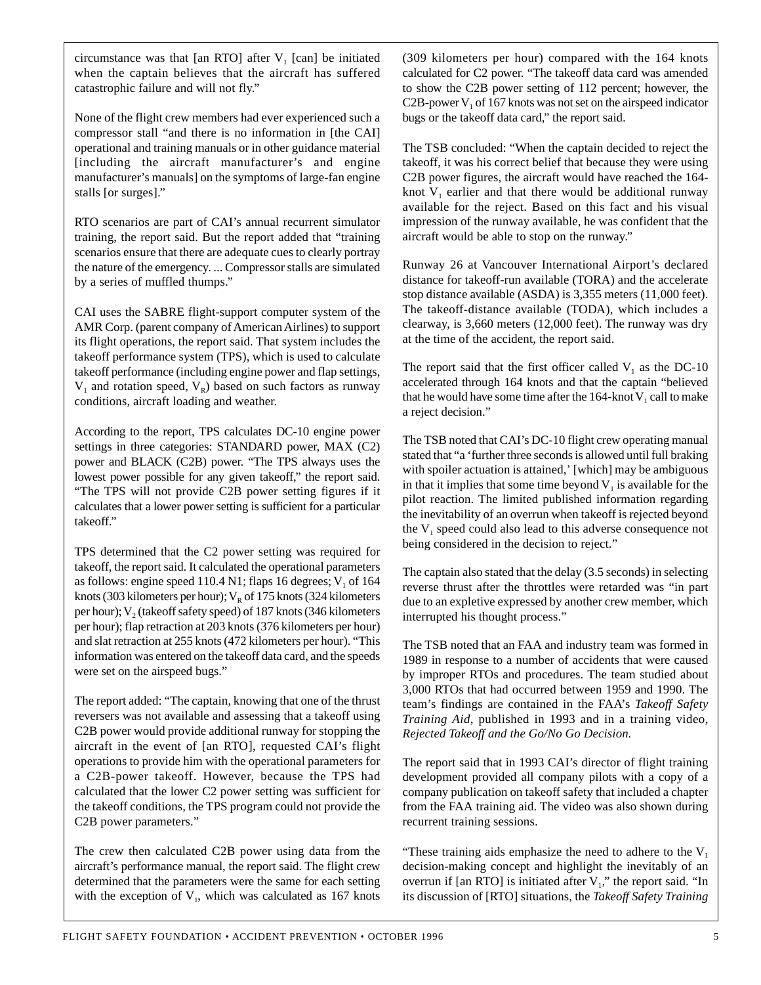circumstance was that [an RTO] after  $V_1$  [can] be initiated when the captain believes that the aircraft has suffered catastrophic failure and will not fly."

None of the flight crew members had ever experienced such a compressor stall "and there is no information in [the CAI] operational and training manuals or in other guidance material [including the aircraft manufacturer's and engine manufacturer's manuals] on the symptoms of large-fan engine stalls [or surges]."

RTO scenarios are part of CAI's annual recurrent simulator training, the report said. But the report added that "training scenarios ensure that there are adequate cues to clearly portray the nature of the emergency. ... Compressor stalls are simulated by a series of muffled thumps."

CAI uses the SABRE flight-support computer system of the AMR Corp. (parent company of American Airlines) to support its flight operations, the report said. That system includes the takeoff performance system (TPS), which is used to calculate takeoff performance (including engine power and flap settings,  $V_1$  and rotation speed,  $V_R$ ) based on such factors as runway conditions, aircraft loading and weather.

According to the report, TPS calculates DC-10 engine power settings in three categories: STANDARD power, MAX (C2) power and BLACK (C2B) power. "The TPS always uses the lowest power possible for any given takeoff," the report said. "The TPS will not provide C2B power setting figures if it calculates that a lower power setting is sufficient for a particular takeoff."

TPS determined that the C2 power setting was required for takeoff, the report said. It calculated the operational parameters as follows: engine speed 110.4 N1; flaps 16 degrees;  $V_1$  of 164 knots (303 kilometers per hour);  $V_R$  of 175 knots (324 kilometers per hour);  $V_2$  (takeoff safety speed) of 187 knots (346 kilometers per hour); flap retraction at 203 knots (376 kilometers per hour) and slat retraction at 255 knots (472 kilometers per hour). "This information was entered on the takeoff data card, and the speeds were set on the airspeed bugs."

The report added: "The captain, knowing that one of the thrust reversers was not available and assessing that a takeoff using C2B power would provide additional runway for stopping the aircraft in the event of [an RTO], requested CAI's flight operations to provide him with the operational parameters for a C2B-power takeoff. However, because the TPS had calculated that the lower C2 power setting was sufficient for the takeoff conditions, the TPS program could not provide the C2B power parameters."

The crew then calculated C2B power using data from the aircraft's performance manual, the report said. The flight crew determined that the parameters were the same for each setting with the exception of  $V_1$ , which was calculated as 167 knots

(309 kilometers per hour) compared with the 164 knots calculated for C2 power. "The takeoff data card was amended to show the C2B power setting of 112 percent; however, the C2B-power  $V_1$  of 167 knots was not set on the airspeed indicator bugs or the takeoff data card," the report said.

The TSB concluded: "When the captain decided to reject the takeoff, it was his correct belief that because they were using C2B power figures, the aircraft would have reached the 164 knot  $V_1$  earlier and that there would be additional runway available for the reject. Based on this fact and his visual impression of the runway available, he was confident that the aircraft would be able to stop on the runway."

Runway 26 at Vancouver International Airport's declared distance for takeoff-run available (TORA) and the accelerate stop distance available (ASDA) is 3,355 meters (11,000 feet). The takeoff-distance available (TODA), which includes a clearway, is 3,660 meters (12,000 feet). The runway was dry at the time of the accident, the report said.

The report said that the first officer called  $V_1$  as the DC-10 accelerated through 164 knots and that the captain "believed that he would have some time after the  $164$ -knot  $V_1$  call to make a reject decision."

The TSB noted that CAI's DC-10 flight crew operating manual stated that "a 'further three seconds is allowed until full braking with spoiler actuation is attained,' [which] may be ambiguous in that it implies that some time beyond  $V_1$  is available for the pilot reaction. The limited published information regarding the inevitability of an overrun when takeoff is rejected beyond the  $V_1$  speed could also lead to this adverse consequence not being considered in the decision to reject."

The captain also stated that the delay (3.5 seconds) in selecting reverse thrust after the throttles were retarded was "in part due to an expletive expressed by another crew member, which interrupted his thought process."

The TSB noted that an FAA and industry team was formed in 1989 in response to a number of accidents that were caused by improper RTOs and procedures. The team studied about 3,000 RTOs that had occurred between 1959 and 1990. The team's findings are contained in the FAA's *Takeoff Safety Training Aid*, published in 1993 and in a training video, *Rejected Takeoff and the Go/No Go Decision.*

The report said that in 1993 CAI's director of flight training development provided all company pilots with a copy of a company publication on takeoff safety that included a chapter from the FAA training aid. The video was also shown during recurrent training sessions.

"These training aids emphasize the need to adhere to the  $V_1$ decision-making concept and highlight the inevitably of an overrun if [an RTO] is initiated after  $V_1$ ," the report said. "In its discussion of [RTO] situations, the *Takeoff Safety Training*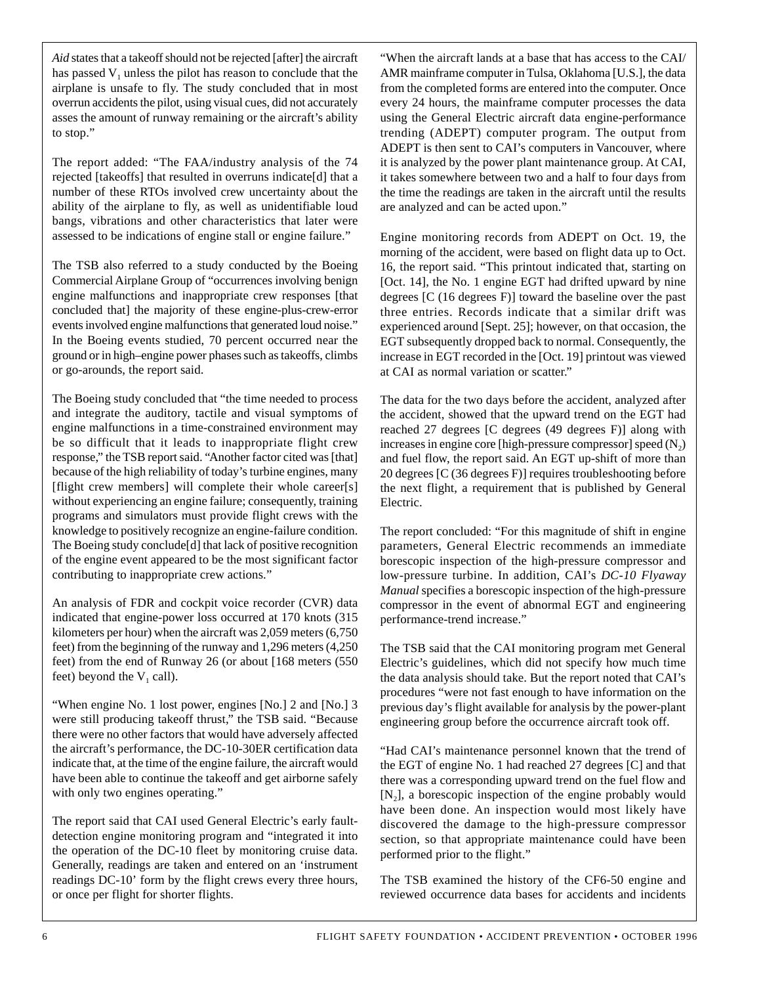*Aid* states that a takeoff should not be rejected [after] the aircraft has passed  $V_1$  unless the pilot has reason to conclude that the airplane is unsafe to fly. The study concluded that in most overrun accidents the pilot, using visual cues, did not accurately asses the amount of runway remaining or the aircraft's ability to stop."

The report added: "The FAA/industry analysis of the 74 rejected [takeoffs] that resulted in overruns indicate[d] that a number of these RTOs involved crew uncertainty about the ability of the airplane to fly, as well as unidentifiable loud bangs, vibrations and other characteristics that later were assessed to be indications of engine stall or engine failure."

The TSB also referred to a study conducted by the Boeing Commercial Airplane Group of "occurrences involving benign engine malfunctions and inappropriate crew responses [that concluded that] the majority of these engine-plus-crew-error events involved engine malfunctions that generated loud noise." In the Boeing events studied, 70 percent occurred near the ground or in high–engine power phases such as takeoffs, climbs or go-arounds, the report said.

The Boeing study concluded that "the time needed to process and integrate the auditory, tactile and visual symptoms of engine malfunctions in a time-constrained environment may be so difficult that it leads to inappropriate flight crew response," the TSB report said. "Another factor cited was [that] because of the high reliability of today's turbine engines, many [flight crew members] will complete their whole career[s] without experiencing an engine failure; consequently, training programs and simulators must provide flight crews with the knowledge to positively recognize an engine-failure condition. The Boeing study conclude[d] that lack of positive recognition of the engine event appeared to be the most significant factor contributing to inappropriate crew actions."

An analysis of FDR and cockpit voice recorder (CVR) data indicated that engine-power loss occurred at 170 knots (315 kilometers per hour) when the aircraft was 2,059 meters (6,750 feet) from the beginning of the runway and 1,296 meters (4,250 feet) from the end of Runway 26 (or about [168 meters (550 feet) beyond the  $V_1$  call).

"When engine No. 1 lost power, engines [No.] 2 and [No.] 3 were still producing takeoff thrust," the TSB said. "Because there were no other factors that would have adversely affected the aircraft's performance, the DC-10-30ER certification data indicate that, at the time of the engine failure, the aircraft would have been able to continue the takeoff and get airborne safely with only two engines operating."

The report said that CAI used General Electric's early faultdetection engine monitoring program and "integrated it into the operation of the DC-10 fleet by monitoring cruise data. Generally, readings are taken and entered on an 'instrument readings DC-10' form by the flight crews every three hours, or once per flight for shorter flights.

"When the aircraft lands at a base that has access to the CAI/ AMR mainframe computer in Tulsa, Oklahoma [U.S.], the data from the completed forms are entered into the computer. Once every 24 hours, the mainframe computer processes the data using the General Electric aircraft data engine-performance trending (ADEPT) computer program. The output from ADEPT is then sent to CAI's computers in Vancouver, where it is analyzed by the power plant maintenance group. At CAI, it takes somewhere between two and a half to four days from the time the readings are taken in the aircraft until the results are analyzed and can be acted upon."

Engine monitoring records from ADEPT on Oct. 19, the morning of the accident, were based on flight data up to Oct. 16, the report said. "This printout indicated that, starting on [Oct. 14], the No. 1 engine EGT had drifted upward by nine degrees [C (16 degrees F)] toward the baseline over the past three entries. Records indicate that a similar drift was experienced around [Sept. 25]; however, on that occasion, the EGT subsequently dropped back to normal. Consequently, the increase in EGT recorded in the [Oct. 19] printout was viewed at CAI as normal variation or scatter."

The data for the two days before the accident, analyzed after the accident, showed that the upward trend on the EGT had reached 27 degrees [C degrees (49 degrees F)] along with increases in engine core [high-pressure compressor] speed  $(N_2)$ and fuel flow, the report said. An EGT up-shift of more than 20 degrees [C (36 degrees F)] requires troubleshooting before the next flight, a requirement that is published by General Electric.

The report concluded: "For this magnitude of shift in engine parameters, General Electric recommends an immediate borescopic inspection of the high-pressure compressor and low-pressure turbine. In addition, CAI's *DC-10 Flyaway Manual* specifies a borescopic inspection of the high-pressure compressor in the event of abnormal EGT and engineering performance-trend increase."

The TSB said that the CAI monitoring program met General Electric's guidelines, which did not specify how much time the data analysis should take. But the report noted that CAI's procedures "were not fast enough to have information on the previous day's flight available for analysis by the power-plant engineering group before the occurrence aircraft took off.

"Had CAI's maintenance personnel known that the trend of the EGT of engine No. 1 had reached 27 degrees [C] and that there was a corresponding upward trend on the fuel flow and  $[N_2]$ , a borescopic inspection of the engine probably would have been done. An inspection would most likely have discovered the damage to the high-pressure compressor section, so that appropriate maintenance could have been performed prior to the flight."

The TSB examined the history of the CF6-50 engine and reviewed occurrence data bases for accidents and incidents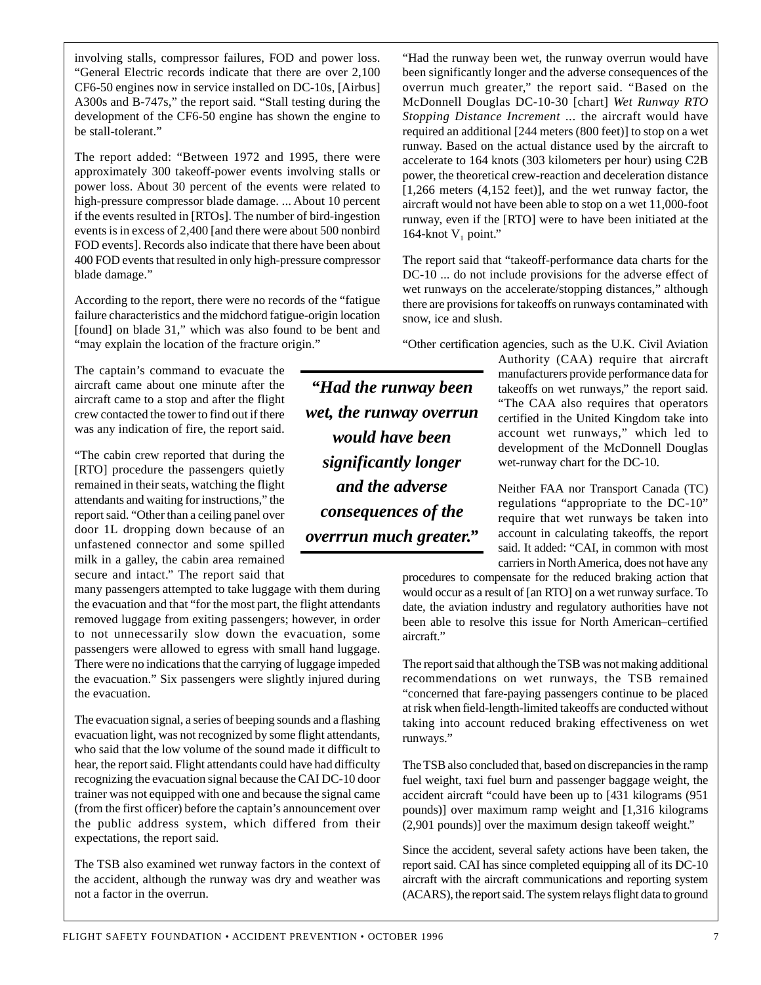involving stalls, compressor failures, FOD and power loss. "General Electric records indicate that there are over 2,100 CF6-50 engines now in service installed on DC-10s, [Airbus] A300s and B-747s," the report said. "Stall testing during the development of the CF6-50 engine has shown the engine to be stall-tolerant."

The report added: "Between 1972 and 1995, there were approximately 300 takeoff-power events involving stalls or power loss. About 30 percent of the events were related to high-pressure compressor blade damage. ... About 10 percent if the events resulted in [RTOs]. The number of bird-ingestion events is in excess of 2,400 [and there were about 500 nonbird FOD events]. Records also indicate that there have been about 400 FOD events that resulted in only high-pressure compressor blade damage."

According to the report, there were no records of the "fatigue failure characteristics and the midchord fatigue-origin location [found] on blade 31," which was also found to be bent and "may explain the location of the fracture origin."

The captain's command to evacuate the aircraft came about one minute after the aircraft came to a stop and after the flight crew contacted the tower to find out if there was any indication of fire, the report said.

"The cabin crew reported that during the [RTO] procedure the passengers quietly remained in their seats, watching the flight attendants and waiting for instructions," the report said. "Other than a ceiling panel over door 1L dropping down because of an unfastened connector and some spilled milk in a galley, the cabin area remained secure and intact." The report said that

many passengers attempted to take luggage with them during the evacuation and that "for the most part, the flight attendants removed luggage from exiting passengers; however, in order to not unnecessarily slow down the evacuation, some passengers were allowed to egress with small hand luggage. There were no indications that the carrying of luggage impeded the evacuation." Six passengers were slightly injured during the evacuation.

The evacuation signal, a series of beeping sounds and a flashing evacuation light, was not recognized by some flight attendants, who said that the low volume of the sound made it difficult to hear, the report said. Flight attendants could have had difficulty recognizing the evacuation signal because the CAI DC-10 door trainer was not equipped with one and because the signal came (from the first officer) before the captain's announcement over the public address system, which differed from their expectations, the report said.

The TSB also examined wet runway factors in the context of the accident, although the runway was dry and weather was not a factor in the overrun.

"Had the runway been wet, the runway overrun would have been significantly longer and the adverse consequences of the overrun much greater," the report said. "Based on the McDonnell Douglas DC-10-30 [chart] *Wet Runway RTO Stopping Distance Increment* ... the aircraft would have required an additional [244 meters (800 feet)] to stop on a wet runway. Based on the actual distance used by the aircraft to accelerate to 164 knots (303 kilometers per hour) using C2B power, the theoretical crew-reaction and deceleration distance [1,266 meters (4,152 feet)], and the wet runway factor, the aircraft would not have been able to stop on a wet 11,000-foot runway, even if the [RTO] were to have been initiated at the 164-knot  $V_1$  point."

The report said that "takeoff-performance data charts for the DC-10 ... do not include provisions for the adverse effect of wet runways on the accelerate/stopping distances," although there are provisions for takeoffs on runways contaminated with snow, ice and slush.

"Other certification agencies, such as the U.K. Civil Aviation

*"Had the runway been wet, the runway overrun would have been significantly longer and the adverse consequences of the overrrun much greater."* Authority (CAA) require that aircraft manufacturers provide performance data for takeoffs on wet runways," the report said. "The CAA also requires that operators certified in the United Kingdom take into account wet runways," which led to development of the McDonnell Douglas wet-runway chart for the DC-10.

Neither FAA nor Transport Canada (TC) regulations "appropriate to the DC-10" require that wet runways be taken into account in calculating takeoffs, the report said. It added: "CAI, in common with most carriers in North America, does not have any

procedures to compensate for the reduced braking action that would occur as a result of [an RTO] on a wet runway surface. To date, the aviation industry and regulatory authorities have not been able to resolve this issue for North American–certified aircraft."

The report said that although the TSB was not making additional recommendations on wet runways, the TSB remained "concerned that fare-paying passengers continue to be placed at risk when field-length-limited takeoffs are conducted without taking into account reduced braking effectiveness on wet runways."

The TSB also concluded that, based on discrepancies in the ramp fuel weight, taxi fuel burn and passenger baggage weight, the accident aircraft "could have been up to [431 kilograms (951 pounds)] over maximum ramp weight and [1,316 kilograms (2,901 pounds)] over the maximum design takeoff weight."

Since the accident, several safety actions have been taken, the report said. CAI has since completed equipping all of its DC-10 aircraft with the aircraft communications and reporting system (ACARS), the report said. The system relays flight data to ground